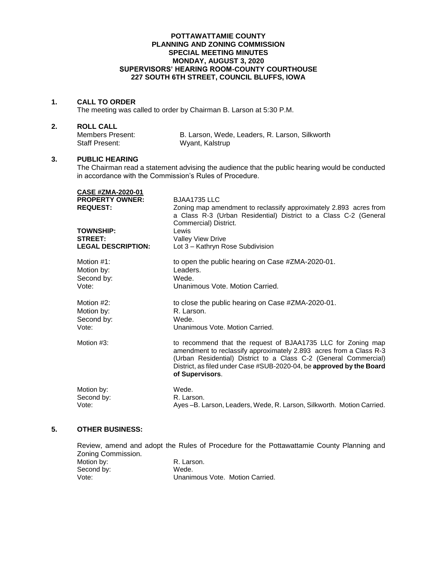#### **POTTAWATTAMIE COUNTY PLANNING AND ZONING COMMISSION SPECIAL MEETING MINUTES MONDAY, AUGUST 3, 2020 SUPERVISORS' HEARING ROOM-COUNTY COURTHOUSE 227 SOUTH 6TH STREET, COUNCIL BLUFFS, IOWA**

## **1. CALL TO ORDER**

The meeting was called to order by Chairman B. Larson at 5:30 P.M.

### **2. ROLL CALL**

| Members Present: | B. Larson, Wede, Leaders, R. Larson, Silkworth |
|------------------|------------------------------------------------|
| Staff Present:   | Wyant, Kalstrup                                |

#### **3. PUBLIC HEARING**

**CASE #ZMA-2020-01**

The Chairman read a statement advising the audience that the public hearing would be conducted in accordance with the Commission's Rules of Procedure.

| <b>UASE #ZMA-2020-01</b>                  |                                                                                                                                                                                                                                                                                                   |
|-------------------------------------------|---------------------------------------------------------------------------------------------------------------------------------------------------------------------------------------------------------------------------------------------------------------------------------------------------|
| <b>PROPERTY OWNER:</b><br><b>REQUEST:</b> | <b>BJAA1735 LLC</b><br>Zoning map amendment to reclassify approximately 2.893 acres from<br>a Class R-3 (Urban Residential) District to a Class C-2 (General<br>Commercial) District.                                                                                                             |
| <b>TOWNSHIP:</b>                          | Lewis                                                                                                                                                                                                                                                                                             |
| <b>STREET:</b>                            | <b>Valley View Drive</b>                                                                                                                                                                                                                                                                          |
| <b>LEGAL DESCRIPTION:</b>                 | Lot 3 - Kathryn Rose Subdivision                                                                                                                                                                                                                                                                  |
| Motion $#1$ :                             | to open the public hearing on Case #ZMA-2020-01.                                                                                                                                                                                                                                                  |
| Motion by:                                | Leaders.                                                                                                                                                                                                                                                                                          |
| Second by:                                | Wede.                                                                                                                                                                                                                                                                                             |
| Vote:                                     | Unanimous Vote, Motion Carried.                                                                                                                                                                                                                                                                   |
| Motion #2:                                | to close the public hearing on Case #ZMA-2020-01.                                                                                                                                                                                                                                                 |
| Motion by:                                | R. Larson.                                                                                                                                                                                                                                                                                        |
| Second by:                                | Wede.                                                                                                                                                                                                                                                                                             |
| Vote:                                     | Unanimous Vote, Motion Carried.                                                                                                                                                                                                                                                                   |
| Motion #3:                                | to recommend that the request of BJAA1735 LLC for Zoning map<br>amendment to reclassify approximately 2.893 acres from a Class R-3<br>(Urban Residential) District to a Class C-2 (General Commercial)<br>District, as filed under Case #SUB-2020-04, be approved by the Board<br>of Supervisors. |
| Motion by:                                | Wede.                                                                                                                                                                                                                                                                                             |
| Second by:                                | R. Larson.                                                                                                                                                                                                                                                                                        |
| Vote:                                     | Ayes-B. Larson, Leaders, Wede, R. Larson, Silkworth. Motion Carried.                                                                                                                                                                                                                              |

## **5. OTHER BUSINESS:**

Review, amend and adopt the Rules of Procedure for the Pottawattamie County Planning and Zoning Commission. Motion by: R. Larson.

| .<br>Second by: | Wede.                           |  |
|-----------------|---------------------------------|--|
| Vote:           | Unanimous Vote. Motion Carried. |  |